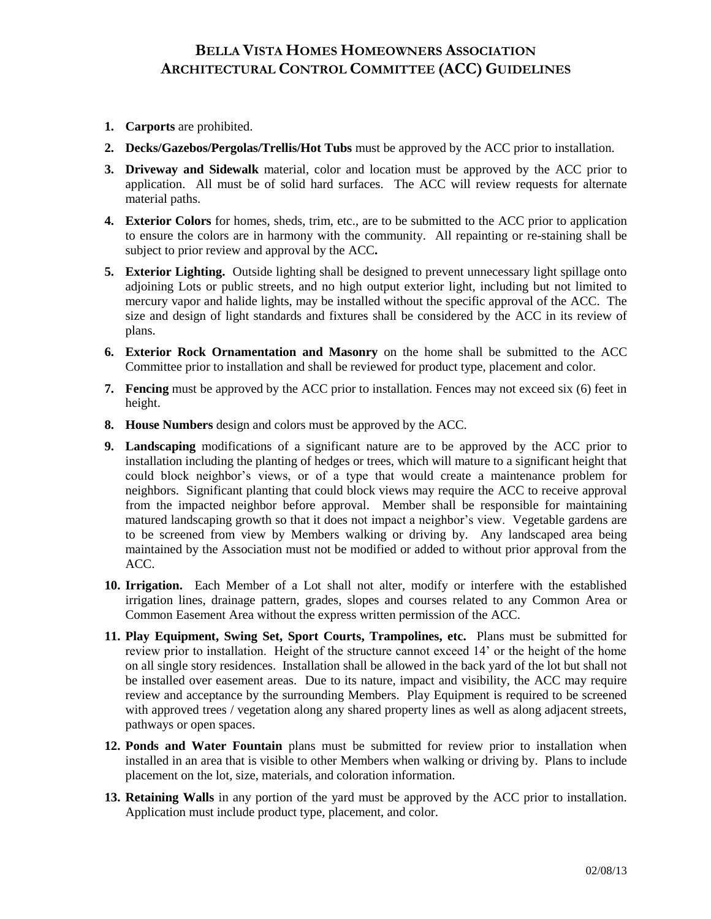## **BELLA VISTA HOMES HOMEOWNERS ASSOCIATION ARCHITECTURAL CONTROL COMMITTEE (ACC) GUIDELINES**

- **1. Carports** are prohibited.
- **2. Decks/Gazebos/Pergolas/Trellis/Hot Tubs** must be approved by the ACC prior to installation.
- **3. Driveway and Sidewalk** material, color and location must be approved by the ACC prior to application. All must be of solid hard surfaces.The ACC will review requests for alternate material paths.
- **4. Exterior Colors** for homes, sheds, trim, etc., are to be submitted to the ACC prior to application to ensure the colors are in harmony with the community. All repainting or re-staining shall be subject to prior review and approval by the ACC**.**
- **5. Exterior Lighting.** Outside lighting shall be designed to prevent unnecessary light spillage onto adjoining Lots or public streets, and no high output exterior light, including but not limited to mercury vapor and halide lights, may be installed without the specific approval of the ACC. The size and design of light standards and fixtures shall be considered by the ACC in its review of plans.
- **6. Exterior Rock Ornamentation and Masonry** on the home shall be submitted to the ACC Committee prior to installation and shall be reviewed for product type, placement and color.
- **7. Fencing** must be approved by the ACC prior to installation. Fences may not exceed six (6) feet in height.
- **8. House Numbers** design and colors must be approved by the ACC.
- **9. Landscaping** modifications of a significant nature are to be approved by the ACC prior to installation including the planting of hedges or trees, which will mature to a significant height that could block neighbor's views, or of a type that would create a maintenance problem for neighbors. Significant planting that could block views may require the ACC to receive approval from the impacted neighbor before approval. Member shall be responsible for maintaining matured landscaping growth so that it does not impact a neighbor's view. Vegetable gardens are to be screened from view by Members walking or driving by. Any landscaped area being maintained by the Association must not be modified or added to without prior approval from the ACC.
- **10. Irrigation.** Each Member of a Lot shall not alter, modify or interfere with the established irrigation lines, drainage pattern, grades, slopes and courses related to any Common Area or Common Easement Area without the express written permission of the ACC.
- **11. Play Equipment, Swing Set, Sport Courts, Trampolines, etc.** Plans must be submitted for review prior to installation. Height of the structure cannot exceed 14' or the height of the home on all single story residences. Installation shall be allowed in the back yard of the lot but shall not be installed over easement areas. Due to its nature, impact and visibility, the ACC may require review and acceptance by the surrounding Members. Play Equipment is required to be screened with approved trees / vegetation along any shared property lines as well as along adjacent streets, pathways or open spaces.
- **12. Ponds and Water Fountain** plans must be submitted for review prior to installation when installed in an area that is visible to other Members when walking or driving by. Plans to include placement on the lot, size, materials, and coloration information.
- **13. Retaining Walls** in any portion of the yard must be approved by the ACC prior to installation. Application must include product type, placement, and color.